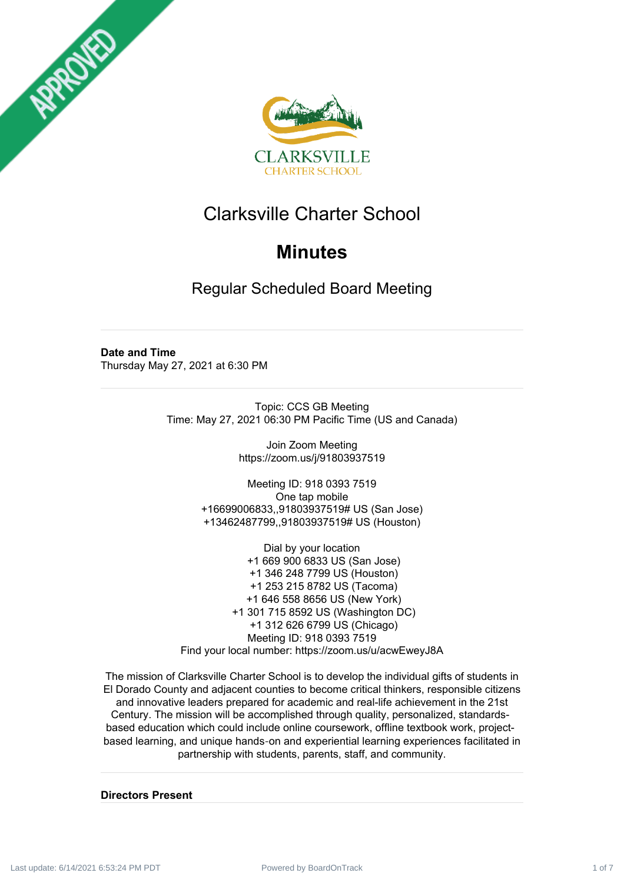



# Clarksville Charter School

# **Minutes**

Regular Scheduled Board Meeting

**Date and Time** Thursday May 27, 2021 at 6:30 PM

> Topic: CCS GB Meeting Time: May 27, 2021 06:30 PM Pacific Time (US and Canada)

> > Join Zoom Meeting https://zoom.us/j/91803937519

Meeting ID: 918 0393 7519 One tap mobile +16699006833,,91803937519# US (San Jose) +13462487799,,91803937519# US (Houston)

Dial by your location +1 669 900 6833 US (San Jose) +1 346 248 7799 US (Houston) +1 253 215 8782 US (Tacoma) +1 646 558 8656 US (New York) +1 301 715 8592 US (Washington DC) +1 312 626 6799 US (Chicago) Meeting ID: 918 0393 7519 Find your local number: https://zoom.us/u/acwEweyJ8A

The mission of Clarksville Charter School is to develop the individual gifts of students in El Dorado County and adjacent counties to become critical thinkers, responsible citizens and innovative leaders prepared for academic and real-life achievement in the 21st Century. The mission will be accomplished through quality, personalized, standardsbased education which could include online coursework, offline textbook work, projectbased learning, and unique hands‐on and experiential learning experiences facilitated in partnership with students, parents, staff, and community.

#### **Directors Present**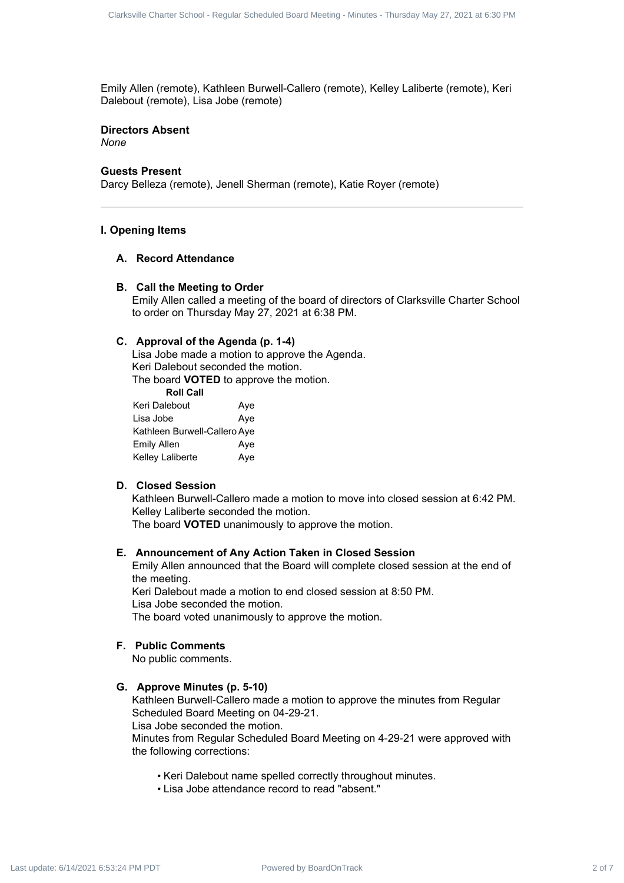Emily Allen (remote), Kathleen Burwell-Callero (remote), Kelley Laliberte (remote), Keri Dalebout (remote), Lisa Jobe (remote)

#### **Directors Absent** *None*

#### **Guests Present**

Darcy Belleza (remote), Jenell Sherman (remote), Katie Royer (remote)

#### **I. Opening Items**

#### **A. Record Attendance**

#### **B. Call the Meeting to Order**

Emily Allen called a meeting of the board of directors of Clarksville Charter School to order on Thursday May 27, 2021 at 6:38 PM.

#### **C. Approval of the Agenda (p. 1-4)**

Lisa Jobe made a motion to approve the Agenda. Keri Dalebout seconded the motion. The board **VOTED** to approve the motion.

**Roll Call**

| ווסט ווטרו                   |     |
|------------------------------|-----|
| Keri Dalebout                | Aye |
| Lisa Jobe                    | Aye |
| Kathleen Burwell-Callero Aye |     |
| <b>Emily Allen</b>           | Aye |
| Kelley Laliberte             | Aye |

#### **D. Closed Session**

Kathleen Burwell-Callero made a motion to move into closed session at 6:42 PM. Kelley Laliberte seconded the motion. Charack 2 of 8 of 8 of 2 of 7 Clarksville Charter School 2 of 7 Clarksville Charter School - Regular School - Regular School - Regular Schedules Charter Schedules - Minutes Charter School - Regular School - Regular Schedu

The board **VOTED** unanimously to approve the motion.

#### **E. Announcement of Any Action Taken in Closed Session**

Emily Allen announced that the Board will complete closed session at the end of the meeting.

Keri Dalebout made a motion to end closed session at 8:50 PM. Lisa Jobe seconded the motion. The board voted unanimously to approve the motion.

#### **F. Public Comments**

No public comments.

# **G. Approve Minutes (p. 5-10)**

Kathleen Burwell-Callero made a motion to approve the minutes from Regular Scheduled Board Meeting on 04-29-21.

Lisa Jobe seconded the motion.

Minutes from Regular Scheduled Board Meeting on 4-29-21 were approved with the following corrections:

- Keri Dalebout name spelled correctly throughout minutes.
- Lisa Jobe attendance record to read "absent."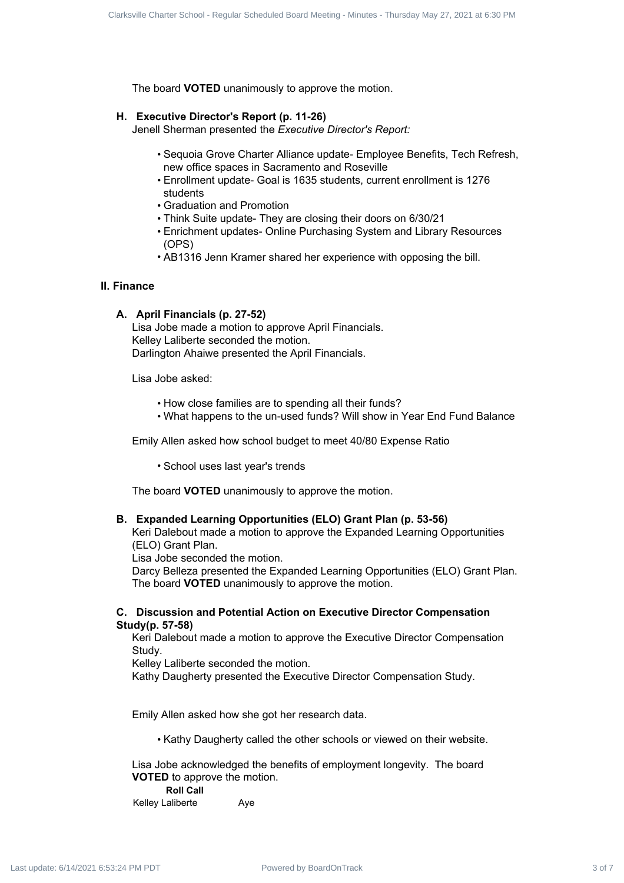The board **VOTED** unanimously to approve the motion.

#### **H. Executive Director's Report (p. 11-26)**

Jenell Sherman presented the *Executive Director's Report:*

- Sequoia Grove Charter Alliance update- Employee Benefits, Tech Refresh, new office spaces in Sacramento and Roseville
- Enrollment update- Goal is 1635 students, current enrollment is 1276 students
- Graduation and Promotion
- Think Suite update- They are closing their doors on 6/30/21
- Enrichment updates- Online Purchasing System and Library Resources (OPS)
- AB1316 Jenn Kramer shared her experience with opposing the bill.

#### **II. Finance**

### **A. April Financials (p. 27-52)**

Lisa Jobe made a motion to approve April Financials. Kelley Laliberte seconded the motion. Darlington Ahaiwe presented the April Financials.

Lisa Jobe asked:

- How close families are to spending all their funds?
- What happens to the un-used funds? Will show in Year End Fund Balance

Emily Allen asked how school budget to meet 40/80 Expense Ratio

• School uses last year's trends

The board **VOTED** unanimously to approve the motion.

#### **B. Expanded Learning Opportunities (ELO) Grant Plan (p. 53-56)**

Keri Dalebout made a motion to approve the Expanded Learning Opportunities (ELO) Grant Plan.

Lisa Jobe seconded the motion.

Darcy Belleza presented the Expanded Learning Opportunities (ELO) Grant Plan. The board **VOTED** unanimously to approve the motion. Clare is the 4 of 200 distributed Board Meeting Water Tracks<br>
The board of Figure Charter School - Regular School - Regular<br>
H. Executive Direction Regular Charter Schedule Board Charter School<br>
- Scheduled Board Meeting

# **C. Discussion and Potential Action on Executive Director Compensation Study(p. 57-58)**

Keri Dalebout made a motion to approve the Executive Director Compensation Study.

Kelley Laliberte seconded the motion.

Kathy Daugherty presented the Executive Director Compensation Study.

Emily Allen asked how she got her research data.

• Kathy Daugherty called the other schools or viewed on their website.

Lisa Jobe acknowledged the benefits of employment longevity. The board **VOTED** to approve the motion.

**Roll Call**

Kelley Laliberte **Aye**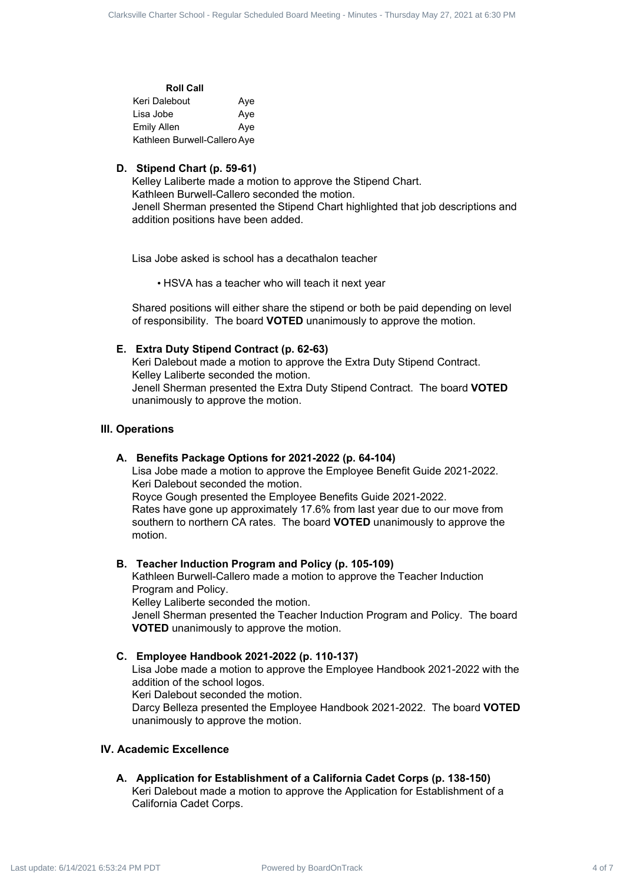| <b>Roll Call</b>             |     |
|------------------------------|-----|
| Keri Dalebout                | Ave |
| Lisa Jobe                    | Aye |
| <b>Emily Allen</b>           | Ave |
| Kathleen Burwell-Callero Aye |     |

## **D. Stipend Chart (p. 59-61)**

Kelley Laliberte made a motion to approve the Stipend Chart. Kathleen Burwell-Callero seconded the motion. Jenell Sherman presented the Stipend Chart highlighted that job descriptions and addition positions have been added. Character Contract 4 of 7 Clarksville Charter School - Regular School - Regular Schedule Charter School - American School - American Schedule Charter Schedule Charter Schedule Charter School - Regular School - Regular Sch

Lisa Jobe asked is school has a decathalon teacher

• HSVA has a teacher who will teach it next year

Shared positions will either share the stipend or both be paid depending on level of responsibility. The board **VOTED** unanimously to approve the motion.

# **E. Extra Duty Stipend Contract (p. 62-63)**

Keri Dalebout made a motion to approve the Extra Duty Stipend Contract. Kelley Laliberte seconded the motion. Jenell Sherman presented the Extra Duty Stipend Contract. The board **VOTED** unanimously to approve the motion.

# **III. Operations**

#### **A. Benefits Package Options for 2021-2022 (p. 64-104)**

Lisa Jobe made a motion to approve the Employee Benefit Guide 2021-2022. Keri Dalebout seconded the motion.

Royce Gough presented the Employee Benefits Guide 2021-2022. Rates have gone up approximately 17.6% from last year due to our move from southern to northern CA rates. The board **VOTED** unanimously to approve the motion.

#### **B. Teacher Induction Program and Policy (p. 105-109)**

Kathleen Burwell-Callero made a motion to approve the Teacher Induction Program and Policy.

Kelley Laliberte seconded the motion.

Jenell Sherman presented the Teacher Induction Program and Policy. The board **VOTED** unanimously to approve the motion.

#### **C. Employee Handbook 2021-2022 (p. 110-137)**

Lisa Jobe made a motion to approve the Employee Handbook 2021-2022 with the addition of the school logos.

Keri Dalebout seconded the motion.

Darcy Belleza presented the Employee Handbook 2021-2022. The board **VOTED** unanimously to approve the motion.

#### **IV. Academic Excellence**

#### **A. Application for Establishment of a California Cadet Corps (p. 138-150)**

Keri Dalebout made a motion to approve the Application for Establishment of a California Cadet Corps.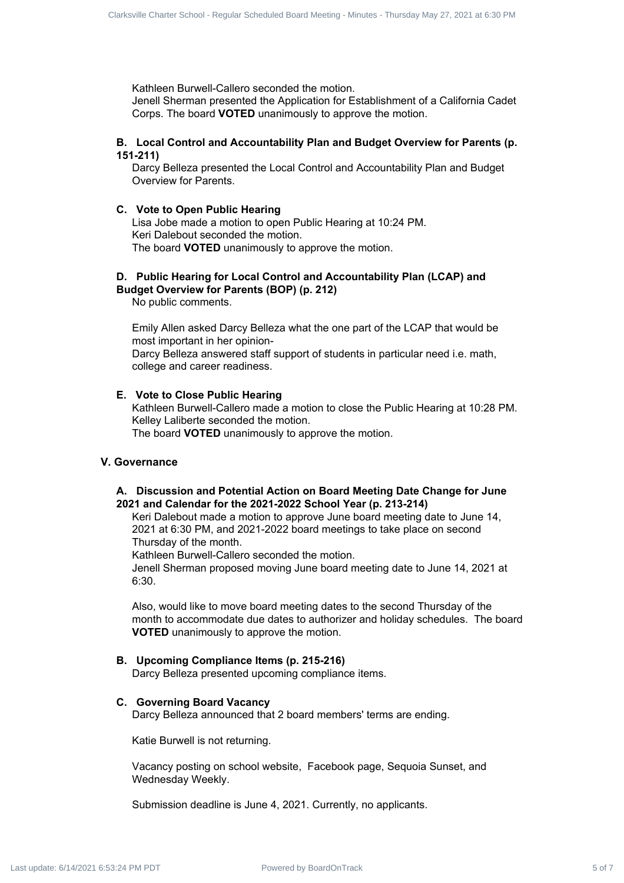Kathleen Burwell-Callero seconded the motion.

Jenell Sherman presented the Application for Establishment of a California Cadet Corps. The board **VOTED** unanimously to approve the motion.

## **B. Local Control and Accountability Plan and Budget Overview for Parents (p. 151-211)**

Darcy Belleza presented the Local Control and Accountability Plan and Budget Overview for Parents.

## **C. Vote to Open Public Hearing**

Lisa Jobe made a motion to open Public Hearing at 10:24 PM. Keri Dalebout seconded the motion. The board **VOTED** unanimously to approve the motion.

#### **D. Public Hearing for Local Control and Accountability Plan (LCAP) and Budget Overview for Parents (BOP) (p. 212)**

No public comments.

Emily Allen asked Darcy Belleza what the one part of the LCAP that would be most important in her opinion-Darcy Belleza answered staff support of students in particular need i.e. math, college and career readiness. Clare is the Fower Faster Fourist Charter School - Regular School - Regular School - Regular School - Regular School - Regular Schedule Corps The neutron properties of 7 Clare School - Regular Corps The Toward Voter Elemen

#### **E. Vote to Close Public Hearing**

Kathleen Burwell-Callero made a motion to close the Public Hearing at 10:28 PM. Kelley Laliberte seconded the motion.

The board **VOTED** unanimously to approve the motion.

## **V. Governance**

# **A. Discussion and Potential Action on Board Meeting Date Change for June 2021 and Calendar for the 2021-2022 School Year (p. 213-214)**

Keri Dalebout made a motion to approve June board meeting date to June 14, 2021 at 6:30 PM, and 2021-2022 board meetings to take place on second Thursday of the month.

Kathleen Burwell-Callero seconded the motion.

Jenell Sherman proposed moving June board meeting date to June 14, 2021 at 6:30.

Also, would like to move board meeting dates to the second Thursday of the month to accommodate due dates to authorizer and holiday schedules. The board **VOTED** unanimously to approve the motion.

# **B. Upcoming Compliance Items (p. 215-216)**

Darcy Belleza presented upcoming compliance items.

#### **C. Governing Board Vacancy**

Darcy Belleza announced that 2 board members' terms are ending.

Katie Burwell is not returning.

Vacancy posting on school website, Facebook page, Sequoia Sunset, and Wednesday Weekly.

Submission deadline is June 4, 2021. Currently, no applicants.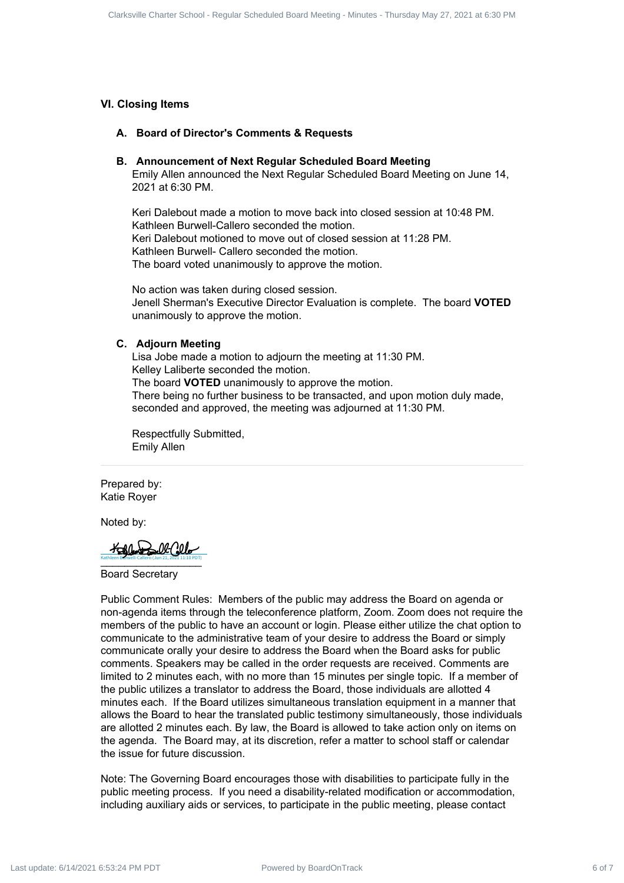# **VI. Closing Items**

#### **A. Board of Director's Comments & Requests**

#### **B. Announcement of Next Regular Scheduled Board Meeting**

Emily Allen announced the Next Regular Scheduled Board Meeting on June 14, 2021 at 6:30 PM.

Keri Dalebout made a motion to move back into closed session at 10:48 PM. Kathleen Burwell-Callero seconded the motion. Keri Dalebout motioned to move out of closed session at 11:28 PM. Kathleen Burwell- Callero seconded the motion. The board voted unanimously to approve the motion.

No action was taken during closed session. Jenell Sherman's Executive Director Evaluation is complete. The board **VOTED** unanimously to approve the motion.

#### **C. Adjourn Meeting**

Lisa Jobe made a motion to adjourn the meeting at 11:30 PM. Kelley Laliberte seconded the motion. The board **VOTED** unanimously to approve the motion. There being no further business to be transacted, and upon motion duly made, seconded and approved, the meeting was adjourned at 11:30 PM.

Respectfully Submitted, Emily Allen

Prepared by: Katie Royer

Noted by:

Kathleen Burwell-Callero (Jun 21, 2021 11:10 PDT)<br>-Kathleen Burwell-Callero (Jun 21, 2021 11:10 PDT)

Board Secretary

Public Comment Rules: Members of the public may address the Board on agenda or non-agenda items through the teleconference platform, Zoom. Zoom does not require the members of the public to have an account or login. Please either utilize the chat option to communicate to the administrative team of your desire to address the Board or simply communicate orally your desire to address the Board when the Board asks for public comments. Speakers may be called in the order requests are received. Comments are limited to 2 minutes each, with no more than 15 minutes per single topic. If a member of the public utilizes a translator to address the Board, those individuals are allotted 4 minutes each. If the Board utilizes simultaneous translation equipment in a manner that allows the Board to hear the translated public testimony simultaneously, those individuals are allotted 2 minutes each. By law, the Board is allowed to take action only on items on the agenda. The Board may, at its discretion, refer a matter to school staff or calendar the issue for future discussion. Charach Charach 4 of 7 Clarksville Community & Requires the Minutes of Tracksville Charter Scheduled Board Meeting<br>
A. Announcement of Meeting Conservation Scheduled Board Meeting<br>
A. Announcement of Meeting Scheduled Boa

Note: The Governing Board encourages those with disabilities to participate fully in the public meeting process. If you need a disability-related modification or accommodation, including auxiliary aids or services, to participate in the public meeting, please contact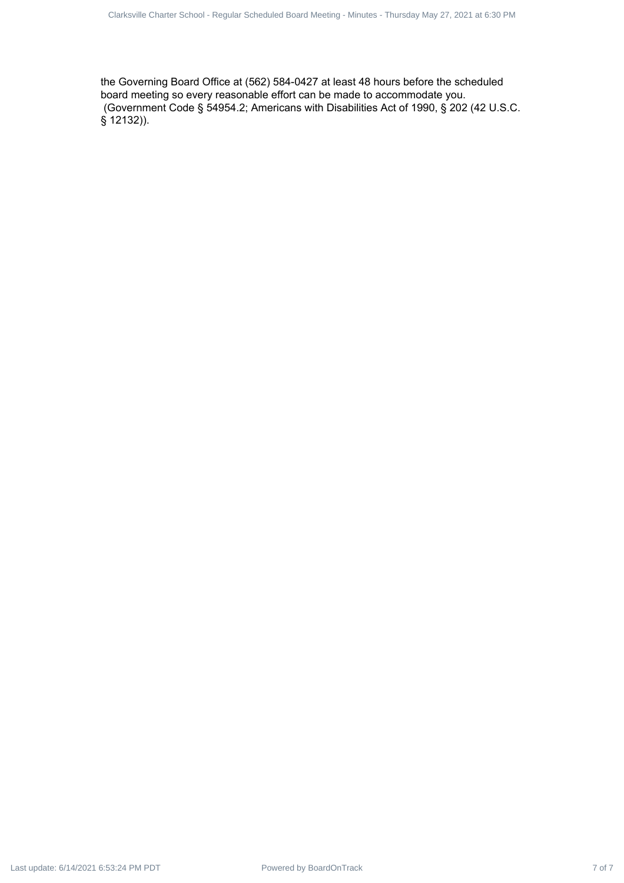the Governing Board Office at (562) 584-0427 at least 48 hours before the scheduled board meeting so every reasonable effort can be made to accommodate you. (Government Code § 54954.2; Americans with Disabilities Act of 1990, § 202 (42 U.S.C. § 12132)).  $P_{\text{other}}$  Charter School - Regular School - Regular School - Regular School - Regular Scheduled Board Meeting - Regular School - Regular School - Minutes - Minutes - Minutes - Minutes - Minutes - Minutes - Minutes - Minut